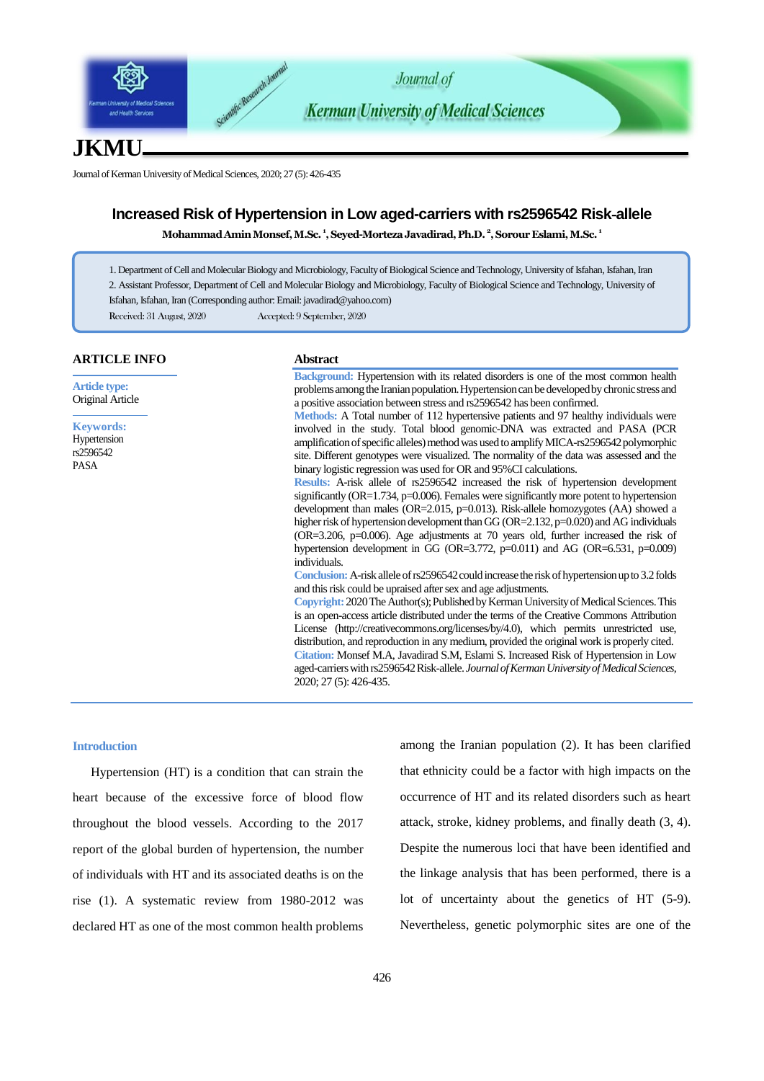

# **JKMU**

Journal of Kerman University of Medical Sciences, 2020; 27 (5): 426-435

## **Increased Risk of Hypertension in Low aged-carriers with rs2596542 Risk-allele**

**MohammadAmin Monsef, M.Sc. <sup>1</sup> , Seyed-Morteza Javadirad, Ph.D. <sup>2</sup> , Sorour Eslami, M.Sc. <sup>1</sup>**

- 1. Department of Cell and Molecular Biology and Microbiology, Faculty of Biological Science and Technology, University of Isfahan, Isfahan, Iran
- 2. Assistant Professor, Department of Cell and Molecular Biology and Microbiology, Faculty of Biological Science and Technology, University of
- Isfahan, Isfahan, Iran (Corresponding author: Emai[l: javadirad@yahoo.com](mailto:javadirad@yahoo.com))

Received: 31 August, 2020 Accepted: 9 September, 2020

#### **ARTICLE INFO**

**Article type:** Original Article

**Keywords:** Hypertension rs2596542 PASA

# **Abstract**

**Background:** Hypertension with its related disorders is one of the most common health problems among the Iranian population. Hypertension can be developed by chronic stress and a positive association between stress and rs2596542 has been confirmed. **Methods:** A Total number of 112 hypertensive patients and 97 healthy individuals were involved in the study. Total blood genomic-DNA was extracted and PASA (PCR amplification of specific alleles) method was used to amplify MICA-rs2596542 polymorphic site. Different genotypes were visualized. The normality of the data was assessed and the binary logistic regression was used for OR and 95%CI calculations. **Results:** A-risk allele of rs2596542 increased the risk of hypertension development significantly (OR=1.734, p=0.006). Females were significantly more potent to hypertension development than males (OR=2.015, p=0.013). Risk-allele homozygotes (AA) showed a higher risk of hypertension development than GG (OR=2.132, p=0.020) and AG individuals (OR=3.206, p=0.006). Age adjustments at 70 years old, further increased the risk of hypertension development in GG (OR=3.772, p=0.011) and AG (OR=6.531, p=0.009) individuals. **Conclusion:**A-risk allele of rs2596542 could increase the risk of hypertension up to 3.2 folds and this risk could be upraised after sex and age adjustments. **Copyright:** 2020The Author(s); Published by Kerman University of Medical Sciences. This

is an open-access article distributed under the terms of the Creative Commons Attribution License (http://creativecommons.org/licenses/by/4.0), which permits unrestricted use, distribution, and reproduction in any medium, provided the original work is properly cited. **Citation:** Monsef M.A, Javadirad S.M, Eslami S. Increased Risk of Hypertension in Low aged-carriers with rs2596542 Risk-allele. *Journal of Kerman University of Medical Sciences*, 2020; 27 (5): 426-435.

## **Introduction**

Hypertension (HT) is a condition that can strain the heart because of the excessive force of blood flow throughout the blood vessels. According to the 2017 report of the global burden of hypertension, the number of individuals with HT and its associated deaths is on the rise (1). A systematic review from 1980-2012 was declared HT as one of the most common health problems

among the Iranian population (2). It has been clarified that ethnicity could be a factor with high impacts on the occurrence of HT and its related disorders such as heart attack, stroke, kidney problems, and finally death (3, 4). Despite the numerous loci that have been identified and the linkage analysis that has been performed, there is a lot of uncertainty about the genetics of HT (5-9). Nevertheless, genetic polymorphic sites are one of the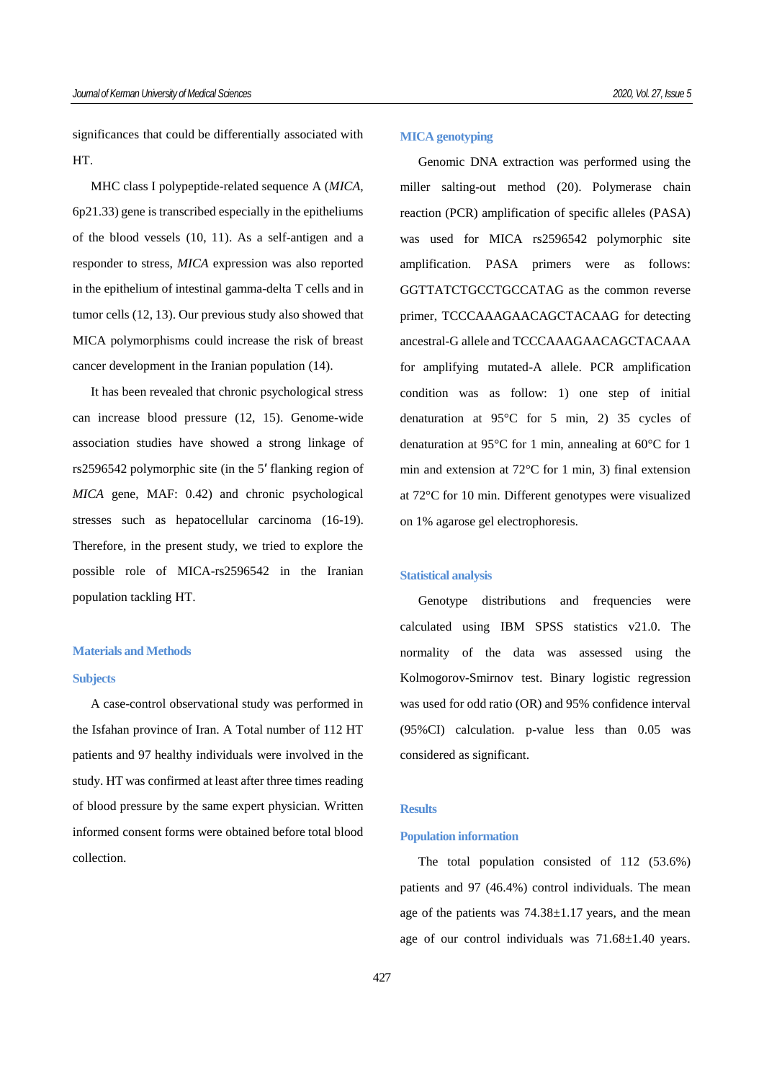significances that could be differentially associated with HT.

MHC class I polypeptide-related sequence A (*MICA,* 6p21.33) gene is transcribed especially in the epitheliums of the blood vessels (10, 11). As a self-antigen and a responder to stress, *MICA* expression was also reported in the epithelium of intestinal gamma-delta T cells and in tumor cells (12, 13). Our previous study also showed that MICA polymorphisms could increase the risk of breast cancer development in the Iranian population (14).

It has been revealed that chronic psychological stress can increase blood pressure (12, 15). Genome-wide association studies have showed a strong linkage of rs2596542 polymorphic site (in the 5′ flanking region of *MICA* gene, MAF: 0.42) and chronic psychological stresses such as hepatocellular carcinoma (16-19). Therefore, in the present study, we tried to explore the possible role of MICA-rs2596542 in the Iranian population tackling HT.

## **Materials and Methods**

### **Subjects**

A case-control observational study was performed in the Isfahan province of Iran. A Total number of 112 HT patients and 97 healthy individuals were involved in the study. HT was confirmed at least after three times reading of blood pressure by the same expert physician. Written informed consent forms were obtained before total blood collection.

#### **MICA genotyping**

Genomic DNA extraction was performed using the miller salting-out method (20). Polymerase chain reaction (PCR) amplification of specific alleles (PASA) was used for MICA rs2596542 polymorphic site amplification. PASA primers were as follows: GGTTATCTGCCTGCCATAG as the common reverse primer, TCCCAAAGAACAGCTACAAG for detecting ancestral-G allele and TCCCAAAGAACAGCTACAAA for amplifying mutated-A allele. PCR amplification condition was as follow: 1) one step of initial denaturation at 95°C for 5 min, 2) 35 cycles of denaturation at 95°C for 1 min, annealing at 60°C for 1 min and extension at 72°C for 1 min, 3) final extension at 72°C for 10 min. Different genotypes were visualized on 1% agarose gel electrophoresis.

#### **Statistical analysis**

Genotype distributions and frequencies were calculated using IBM SPSS statistics v21.0. The normality of the data was assessed using the Kolmogorov-Smirnov test. Binary logistic regression was used for odd ratio (OR) and 95% confidence interval (95%CI) calculation. p-value less than 0.05 was considered as significant.

## **Results**

## **Population information**

The total population consisted of 112 (53.6%) patients and 97 (46.4%) control individuals. The mean age of the patients was 74.38±1.17 years, and the mean age of our control individuals was 71.68±1.40 years.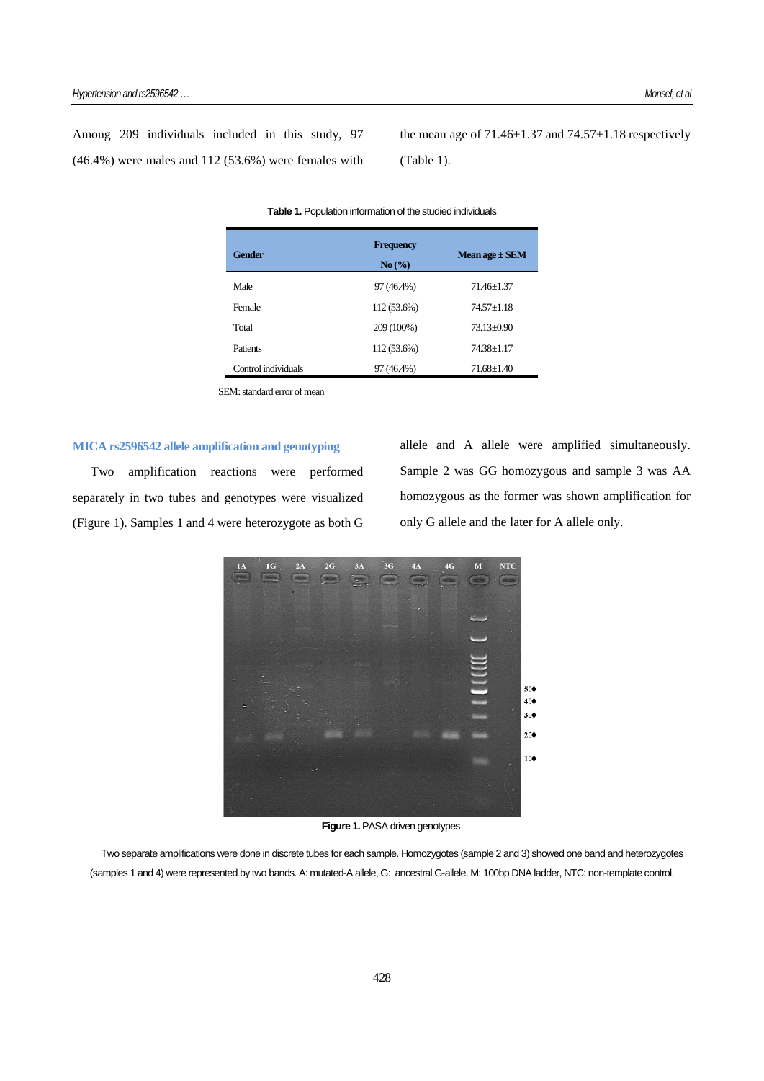Among 209 individuals included in this study, 97 (46.4%) were males and 112 (53.6%) were females with the mean age of  $71.46\pm1.37$  and  $74.57\pm1.18$  respectively (Table 1).

| <b>Gender</b>       | <b>Frequency</b><br>No(%) | Mean age $\pm$ SEM |
|---------------------|---------------------------|--------------------|
| Male                | 97 (46.4%)                | $71.46 + 1.37$     |
| Female              | 112 (53.6%)               | $74.57 + 1.18$     |
| Total               | 209 (100%)                | $73.13 + 0.90$     |
| Patients            | 112 (53.6%)               | 74.38±1.17         |
| Control individuals | 97 (46.4%)                | $71.68 \pm 1.40$   |

#### **Table 1.** Population information of the studied individuals

SEM: standard error of mean

## **MICA rs2596542 allele amplification and genotyping**

Two amplification reactions were performed separately in two tubes and genotypes were visualized (Figure 1). Samples 1 and 4 were heterozygote as both G allele and A allele were amplified simultaneously. Sample 2 was GG homozygous and sample 3 was AA homozygous as the former was shown amplification for only G allele and the later for A allele only.



**Figure 1.** PASA driven genotypes

Two separate amplifications were done in discrete tubes for each sample. Homozygotes (sample 2 and 3) showed one band and heterozygotes (samples 1 and 4) were represented by two bands. A: mutated-A allele, G: ancestral G-allele, M: 100bp DNA ladder, NTC: non-template control.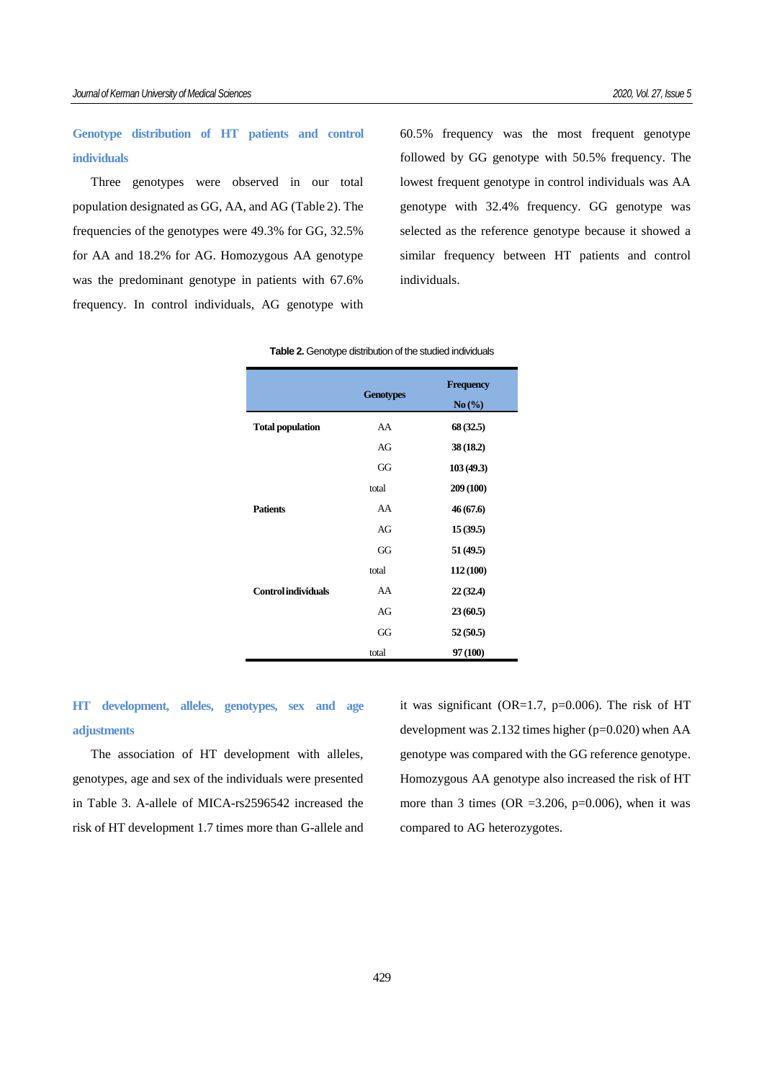# **Genotype distribution of HT patients and control individuals**

Three genotypes were observed in our total population designated as GG, AA, and AG (Table 2). The frequencies of the genotypes were 49.3% for GG, 32.5% for AA and 18.2% for AG. Homozygous AA genotype was the predominant genotype in patients with 67.6% frequency. In control individuals, AG genotype with 60.5% frequency was the most frequent genotype followed by GG genotype with 50.5% frequency. The lowest frequent genotype in control individuals was AA genotype with 32.4% frequency. GG genotype was selected as the reference genotype because it showed a similar frequency between HT patients and control individuals.

|                            | <b>Genotypes</b> | <b>Frequency</b><br>No(%) |  |
|----------------------------|------------------|---------------------------|--|
| <b>Total population</b>    | AA               | 68 (32.5)                 |  |
|                            | AG               | 38 (18.2)                 |  |
|                            | GG               | 103(49.3)                 |  |
|                            | total            | 209 (100)                 |  |
| <b>Patients</b>            | AA               | 46 (67.6)                 |  |
|                            | AG               | 15(39.5)                  |  |
|                            | GG               | 51 (49.5)                 |  |
|                            | total            | 112 (100)                 |  |
| <b>Control individuals</b> | AA               | 22(32.4)                  |  |
|                            | AG               | 23(60.5)                  |  |
|                            | GG               | 52(50.5)                  |  |
|                            | total            | 97 (100)                  |  |

#### **Table 2.** Genotype distribution of the studied individuals

**HT development, alleles, genotypes, sex and age adjustments**

The association of HT development with alleles, genotypes, age and sex of the individuals were presented in Table 3. A-allele of MICA-rs2596542 increased the risk of HT development 1.7 times more than G-allele and it was significant (OR=1.7,  $p=0.006$ ). The risk of HT development was 2.132 times higher (p=0.020) when AA genotype was compared with the GG reference genotype. Homozygous AA genotype also increased the risk of HT more than 3 times (OR =  $3.206$ , p=0.006), when it was compared to AG heterozygotes.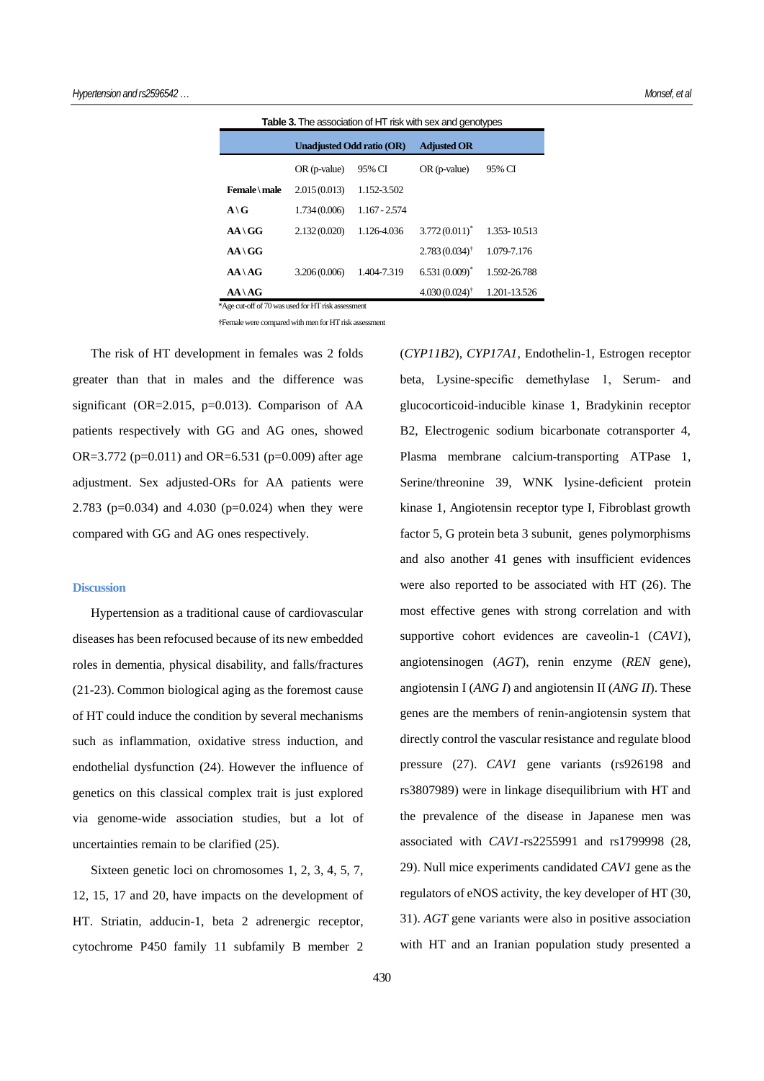| <b>Table 3.</b> The association of HT risk with sex and genotypes |                                  |               |                             |              |  |  |  |
|-------------------------------------------------------------------|----------------------------------|---------------|-----------------------------|--------------|--|--|--|
|                                                                   | <b>Unadjusted Odd ratio (OR)</b> |               | <b>Adjusted OR</b>          |              |  |  |  |
|                                                                   | $OR$ (p-value)                   | 95% CI        | $OR$ (p-value)              | 95% CI       |  |  |  |
| Female \ male                                                     | 2.015(0.013)                     | 1.152-3.502   |                             |              |  |  |  |
| $A \setminus G$                                                   | 1.734 (0.006)                    | 1.167 - 2.574 |                             |              |  |  |  |
| $AA \ GG$                                                         | 2.132(0.020)                     | 1.126-4.036   | $3.772(0.011)^{*}$          | 1.353-10.513 |  |  |  |
| $AA \ GG$                                                         |                                  |               | $2.783(0.034)$ <sup>†</sup> | 1.079-7.176  |  |  |  |
| $AA \setminus AG$                                                 | 3.206(0.006)                     | 1.404-7.319   | $6.531(0.009)^*$            | 1.592-26.788 |  |  |  |
| $AA \setminus AG$                                                 |                                  |               | $4.030(0.024)$ <sup>†</sup> | 1.201-13.526 |  |  |  |

\*Age cut-off of 70 was used for HT risk assessment

**†**Femalewere compared with men for HT risk assessment

The risk of HT development in females was 2 folds greater than that in males and the difference was significant (OR= $2.015$ , p=0.013). Comparison of AA patients respectively with GG and AG ones, showed OR=3.772 (p=0.011) and OR=6.531 (p=0.009) after age adjustment. Sex adjusted-ORs for AA patients were 2.783 (p=0.034) and 4.030 (p=0.024) when they were compared with GG and AG ones respectively.

### **Discussion**

Hypertension as a traditional cause of cardiovascular diseases has been refocused because of its new embedded roles in dementia, physical disability, and falls/fractures (21-23). Common biological aging as the foremost cause of HT could induce the condition by several mechanisms such as inflammation, oxidative stress induction, and endothelial dysfunction (24). However the influence of genetics on this classical complex trait is just explored via genome-wide association studies, but a lot of uncertainties remain to be clarified (25).

Sixteen genetic loci on chromosomes 1, 2, 3, 4, 5, 7, 12, 15, 17 and 20, have impacts on the development of HT. Striatin, adducin-1, beta 2 adrenergic receptor, cytochrome P450 family 11 subfamily B member 2 beta, Lysine-specific demethylase 1, Serum- and glucocorticoid-inducible kinase 1, Bradykinin receptor B2, Electrogenic sodium bicarbonate cotransporter 4, Plasma membrane calcium-transporting ATPase 1, Serine/threonine 39, WNK lysine-deficient protein kinase 1, Angiotensin receptor type I, Fibroblast growth factor 5, G protein beta 3 subunit, genes polymorphisms and also another 41 genes with insufficient evidences were also reported to be associated with HT (26). The most effective genes with strong correlation and with supportive cohort evidences are caveolin-1 (*CAV1*), angiotensinogen (*AGT*), renin enzyme (*REN* gene), angiotensin I (*ANG I*) and angiotensin II (*ANG II*). These genes are the members of renin-angiotensin system that directly control the vascular resistance and regulate blood pressure (27). *CAV1* gene variants (rs926198 and rs3807989) were in linkage disequilibrium with HT and the prevalence of the disease in Japanese men was associated with *CAV1*-rs2255991 and rs1799998 (28, 29). Null mice experiments candidated *CAV1* gene as the regulators of eNOS activity, the key developer of HT (30, 31). *AGT* gene variants were also in positive association with HT and an Iranian population study presented a

(*CYP11B2*), *CYP17A1*, Endothelin-1, Estrogen receptor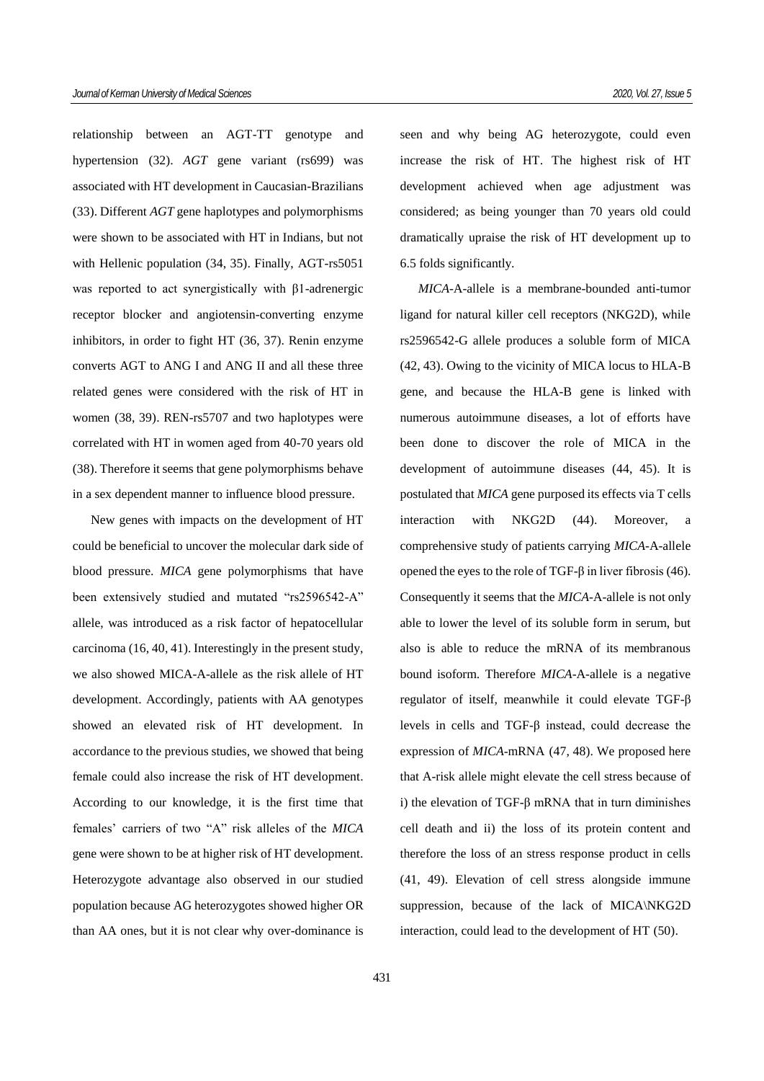relationship between an AGT-TT genotype and hypertension (32). *AGT* gene variant (rs699) was associated with HT development in Caucasian-Brazilians (33). Different *AGT* gene haplotypes and polymorphisms were shown to be associated with HT in Indians, but not with Hellenic population (34, 35). Finally, AGT*-*rs5051 was reported to act synergistically with β1-adrenergic receptor blocker and angiotensin-converting enzyme inhibitors, in order to fight HT (36, 37). Renin enzyme converts AGT to ANG I and ANG II and all these three related genes were considered with the risk of HT in women (38, 39). REN-rs5707 and two haplotypes were correlated with HT in women aged from 40-70 years old (38). Therefore it seems that gene polymorphisms behave in a sex dependent manner to influence blood pressure.

New genes with impacts on the development of HT could be beneficial to uncover the molecular dark side of blood pressure. *MICA* gene polymorphisms that have been extensively studied and mutated "rs2596542-A" allele, was introduced as a risk factor of hepatocellular carcinoma (16, 40, 41). Interestingly in the present study, we also showed MICA-A-allele as the risk allele of HT development. Accordingly, patients with AA genotypes showed an elevated risk of HT development. In accordance to the previous studies, we showed that being female could also increase the risk of HT development. According to our knowledge, it is the first time that females' carriers of two "A" risk alleles of the *MICA* gene were shown to be at higher risk of HT development. Heterozygote advantage also observed in our studied population because AG heterozygotes showed higher OR than AA ones, but it is not clear why over-dominance is

seen and why being AG heterozygote, could even increase the risk of HT. The highest risk of HT development achieved when age adjustment was considered; as being younger than 70 years old could dramatically upraise the risk of HT development up to 6.5 folds significantly.

*MICA*-A-allele is a membrane-bounded anti-tumor ligand for natural killer cell receptors (NKG2D), while rs2596542-G allele produces a soluble form of MICA (42, 43). Owing to the vicinity of MICA locus to HLA-B gene, and because the HLA-B gene is linked with numerous autoimmune diseases, a lot of efforts have been done to discover the role of MICA in the development of autoimmune diseases (44, 45). It is postulated that *MICA* gene purposed its effects via T cells interaction with NKG2D (44). Moreover, a comprehensive study of patients carrying *MICA*-A-allele opened the eyes to the role of TGF-β in liver fibrosis (46). Consequently it seems that the *MICA*-A-allele is not only able to lower the level of its soluble form in serum, but also is able to reduce the mRNA of its membranous bound isoform. Therefore *MICA*-A-allele is a negative regulator of itself, meanwhile it could elevate TGF-β levels in cells and TGF-β instead, could decrease the expression of *MICA*-mRNA (47, 48). We proposed here that A-risk allele might elevate the cell stress because of i) the elevation of TGF-β mRNA that in turn diminishes cell death and ii) the loss of its protein content and therefore the loss of an stress response product in cells (41, 49). Elevation of cell stress alongside immune suppression, because of the lack of MICA\NKG2D interaction, could lead to the development of HT (50).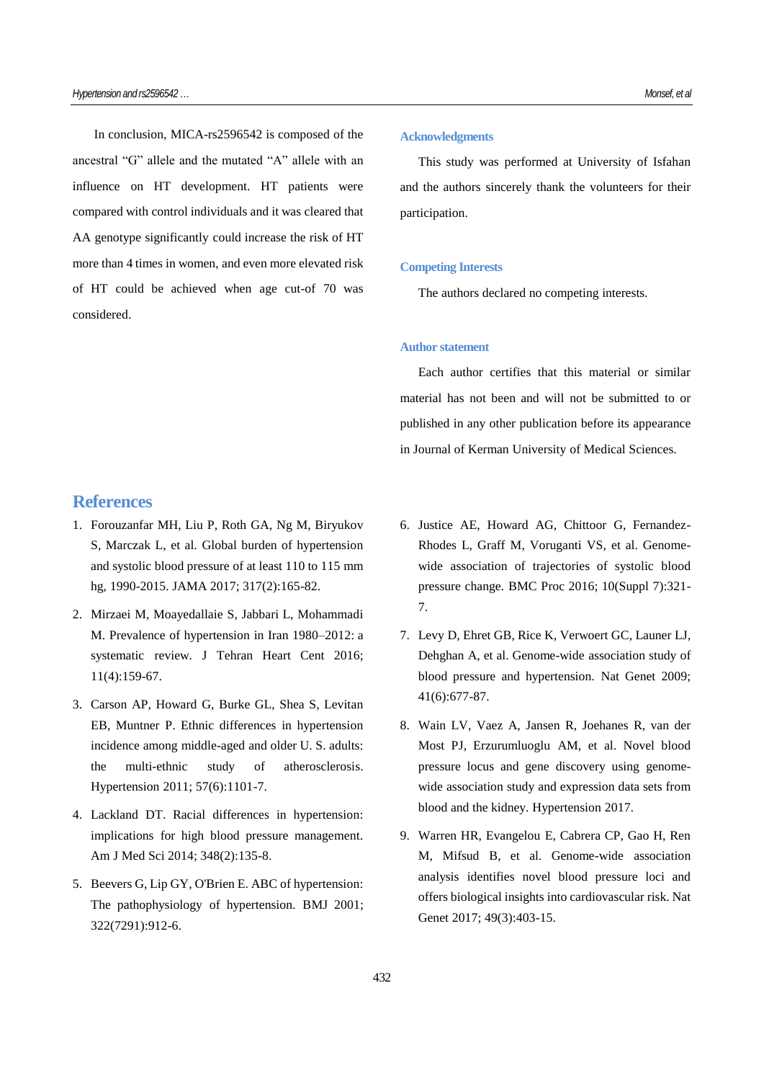In conclusion, MICA-rs2596542 is composed of the ancestral "G" allele and the mutated "A" allele with an influence on HT development. HT patients were compared with control individuals and it was cleared that AA genotype significantly could increase the risk of HT more than 4 times in women, and even more elevated risk of HT could be achieved when age cut-of 70 was considered.

# **References**

- 1. Forouzanfar MH, Liu P, Roth GA, Ng M, Biryukov S, Marczak L, et al. Global burden of hypertension and systolic blood pressure of at least 110 to 115 mm hg, 1990-2015. JAMA 2017; 317(2):165-82.
- 2. Mirzaei M, Moayedallaie S, Jabbari L, Mohammadi M. Prevalence of hypertension in Iran 1980–2012: a systematic review. J Tehran Heart Cent 2016; 11(4):159-67.
- 3. Carson AP, Howard G, Burke GL, Shea S, Levitan EB, Muntner P. Ethnic differences in hypertension incidence among middle-aged and older U. S. adults: the multi-ethnic study of atherosclerosis. Hypertension 2011; 57(6):1101-7.
- 4. Lackland DT. Racial differences in hypertension: implications for high blood pressure management. Am J Med Sci 2014; 348(2):135-8.
- 5. Beevers G, Lip GY, O'Brien E. ABC of hypertension: The pathophysiology of hypertension. BMJ 2001; 322(7291):912-6.

#### **Acknowledgments**

This study was performed at University of Isfahan and the authors sincerely thank the volunteers for their participation.

## **Competing Interests**

The authors declared no competing interests.

## **Author statement**

Each author certifies that this material or similar material has not been and will not be submitted to or published in any other publication before its appearance in Journal of Kerman University of Medical Sciences.

- 6. Justice AE, Howard AG, Chittoor G, Fernandez-Rhodes L, Graff M, Voruganti VS, et al. Genomewide association of trajectories of systolic blood pressure change. BMC Proc 2016; 10(Suppl 7):321- 7.
- 7. Levy D, Ehret GB, Rice K, Verwoert GC, Launer LJ, Dehghan A, et al. Genome-wide association study of blood pressure and hypertension. Nat Genet 2009; 41(6):677-87.
- 8. Wain LV, Vaez A, Jansen R, Joehanes R, van der Most PJ, Erzurumluoglu AM, et al. Novel blood pressure locus and gene discovery using genomewide association study and expression data sets from blood and the kidney. Hypertension 2017.
- 9. Warren HR, Evangelou E, Cabrera CP, Gao H, Ren M, Mifsud B, et al. Genome-wide association analysis identifies novel blood pressure loci and offers biological insights into cardiovascular risk. Nat Genet 2017; 49(3):403-15.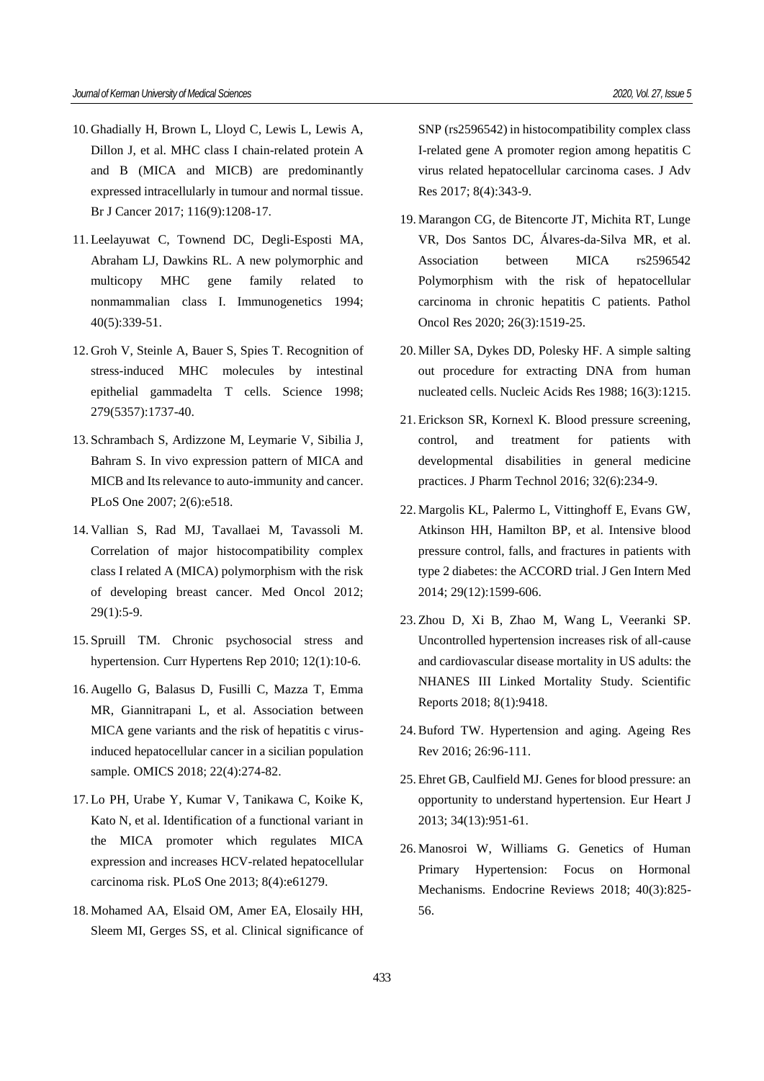- 10. Ghadially H, Brown L, Lloyd C, Lewis L, Lewis A, Dillon J, et al. MHC class I chain-related protein A and B (MICA and MICB) are predominantly expressed intracellularly in tumour and normal tissue. Br J Cancer 2017; 116(9):1208-17.
- 11. Leelayuwat C, Townend DC, Degli-Esposti MA, Abraham LJ, Dawkins RL. A new polymorphic and multicopy MHC gene family related to nonmammalian class I. Immunogenetics 1994; 40(5):339-51.
- 12. Groh V, Steinle A, Bauer S, Spies T. Recognition of stress-induced MHC molecules by intestinal epithelial gammadelta T cells. Science 1998; 279(5357):1737-40.
- 13. Schrambach S, Ardizzone M, Leymarie V, Sibilia J, Bahram S. In vivo expression pattern of MICA and MICB and Its relevance to auto-immunity and cancer. PLoS One 2007; 2(6):e518.
- 14. Vallian S, Rad MJ, Tavallaei M, Tavassoli M. Correlation of major histocompatibility complex class I related A (MICA) polymorphism with the risk of developing breast cancer. Med Oncol 2012; 29(1):5-9.
- 15. Spruill TM. Chronic psychosocial stress and hypertension. Curr Hypertens Rep 2010; 12(1):10-6.
- 16. Augello G, Balasus D, Fusilli C, Mazza T, Emma MR, Giannitrapani L, et al. Association between MICA gene variants and the risk of hepatitis c virusinduced hepatocellular cancer in a sicilian population sample. OMICS 2018; 22(4):274-82.
- 17. Lo PH, Urabe Y, Kumar V, Tanikawa C, Koike K, Kato N, et al. Identification of a functional variant in the MICA promoter which regulates MICA expression and increases HCV-related hepatocellular carcinoma risk. PLoS One 2013; 8(4):e61279.
- 18. Mohamed AA, Elsaid OM, Amer EA, Elosaily HH, Sleem MI, Gerges SS, et al. Clinical significance of

SNP (rs2596542) in histocompatibility complex class I-related gene A promoter region among hepatitis C virus related hepatocellular carcinoma cases. J Adv Res 2017; 8(4):343-9.

- 19. Marangon CG, de Bitencorte JT, Michita RT, Lunge VR, Dos Santos DC, Álvares-da-Silva MR, et al. Association between MICA rs2596542 Polymorphism with the risk of hepatocellular carcinoma in chronic hepatitis C patients. Pathol Oncol Res 2020; 26(3):1519-25.
- 20. Miller SA, Dykes DD, Polesky HF. A simple salting out procedure for extracting DNA from human nucleated cells. Nucleic Acids Res 1988; 16(3):1215.
- 21. Erickson SR, Kornexl K. Blood pressure screening, control, and treatment for patients with developmental disabilities in general medicine practices. J Pharm Technol 2016; 32(6):234-9.
- 22. Margolis KL, Palermo L, Vittinghoff E, Evans GW, Atkinson HH, Hamilton BP, et al. Intensive blood pressure control, falls, and fractures in patients with type 2 diabetes: the ACCORD trial. J Gen Intern Med 2014; 29(12):1599-606.
- 23. Zhou D, Xi B, Zhao M, Wang L, Veeranki SP. Uncontrolled hypertension increases risk of all-cause and cardiovascular disease mortality in US adults: the NHANES III Linked Mortality Study. Scientific Reports 2018; 8(1):9418.
- 24.Buford TW. Hypertension and aging. Ageing Res Rev 2016; 26:96-111.
- 25. Ehret GB, Caulfield MJ. Genes for blood pressure: an opportunity to understand hypertension. Eur Heart J 2013; 34(13):951-61.
- 26. Manosroi W, Williams G. Genetics of Human Primary Hypertension: Focus on Hormonal Mechanisms. Endocrine Reviews 2018; 40(3):825- 56.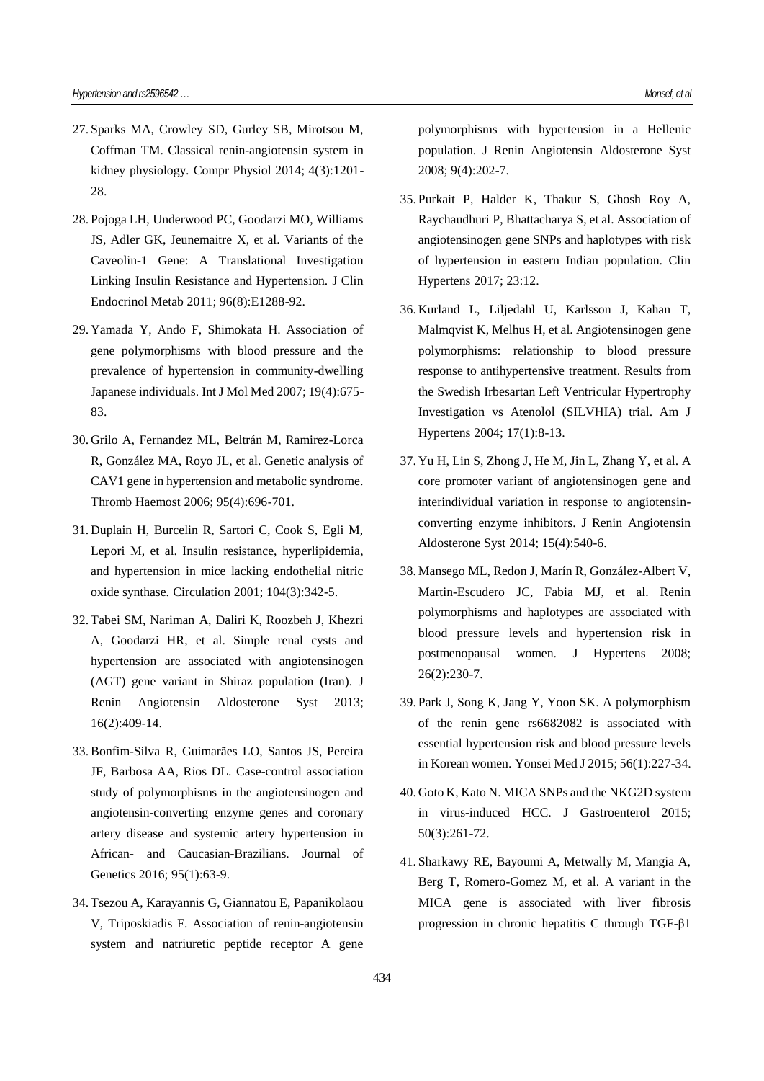- 27. Sparks MA, Crowley SD, Gurley SB, Mirotsou M, Coffman TM. Classical renin-angiotensin system in kidney physiology. Compr Physiol 2014; 4(3):1201- 28.
- 28. Pojoga LH, Underwood PC, Goodarzi MO, Williams JS, Adler GK, Jeunemaitre X, et al. Variants of the Caveolin-1 Gene: A Translational Investigation Linking Insulin Resistance and Hypertension. J Clin Endocrinol Metab 2011; 96(8):E1288-92.
- 29. Yamada Y, Ando F, Shimokata H. Association of gene polymorphisms with blood pressure and the prevalence of hypertension in community-dwelling Japanese individuals. Int J Mol Med 2007; 19(4):675- 83.
- 30. Grilo A, Fernandez ML, Beltrán M, Ramirez-Lorca R, González MA, Royo JL, et al. Genetic analysis of CAV1 gene in hypertension and metabolic syndrome. Thromb Haemost 2006; 95(4):696-701.
- 31. Duplain H, Burcelin R, Sartori C, Cook S, Egli M, Lepori M, et al. Insulin resistance, hyperlipidemia, and hypertension in mice lacking endothelial nitric oxide synthase. Circulation 2001; 104(3):342-5.
- 32. Tabei SM, Nariman A, Daliri K, Roozbeh J, Khezri A, Goodarzi HR, et al. Simple renal cysts and hypertension are associated with angiotensinogen (AGT) gene variant in Shiraz population (Iran). J Renin Angiotensin Aldosterone Syst 2013; 16(2):409-14.
- 33.Bonfim-Silva R, Guimarães LO, Santos JS, Pereira JF, Barbosa AA, Rios DL. Case-control association study of polymorphisms in the angiotensinogen and angiotensin-converting enzyme genes and coronary artery disease and systemic artery hypertension in African- and Caucasian-Brazilians. Journal of Genetics 2016; 95(1):63-9.
- 34. Tsezou A, Karayannis G, Giannatou E, Papanikolaou V, Triposkiadis F. Association of renin-angiotensin system and natriuretic peptide receptor A gene

polymorphisms with hypertension in a Hellenic population. J Renin Angiotensin Aldosterone Syst 2008; 9(4):202-7.

- 35. Purkait P, Halder K, Thakur S, Ghosh Roy A, Raychaudhuri P, Bhattacharya S, et al. Association of angiotensinogen gene SNPs and haplotypes with risk of hypertension in eastern Indian population. Clin Hypertens 2017; 23:12.
- 36. Kurland L, Liljedahl U, Karlsson J, Kahan T, Malmqvist K, Melhus H, et al. Angiotensinogen gene polymorphisms: relationship to blood pressure response to antihypertensive treatment. Results from the Swedish Irbesartan Left Ventricular Hypertrophy Investigation vs Atenolol (SILVHIA) trial. Am J Hypertens 2004; 17(1):8-13.
- 37. Yu H, Lin S, Zhong J, He M, Jin L, Zhang Y, et al. A core promoter variant of angiotensinogen gene and interindividual variation in response to angiotensinconverting enzyme inhibitors. J Renin Angiotensin Aldosterone Syst 2014; 15(4):540-6.
- 38. Mansego ML, Redon J, Marín R, González-Albert V, Martin-Escudero JC, Fabia MJ, et al. Renin polymorphisms and haplotypes are associated with blood pressure levels and hypertension risk in postmenopausal women. J Hypertens 2008; 26(2):230-7.
- 39. Park J, Song K, Jang Y, Yoon SK. A polymorphism of the renin gene rs6682082 is associated with essential hypertension risk and blood pressure levels in Korean women. Yonsei Med J 2015; 56(1):227-34.
- 40. Goto K, Kato N. MICA SNPs and the NKG2D system in virus-induced HCC. J Gastroenterol 2015; 50(3):261-72.
- 41. Sharkawy RE, Bayoumi A, Metwally M, Mangia A, Berg T, Romero-Gomez M, et al. A variant in the MICA gene is associated with liver fibrosis progression in chronic hepatitis C through TGF-β1